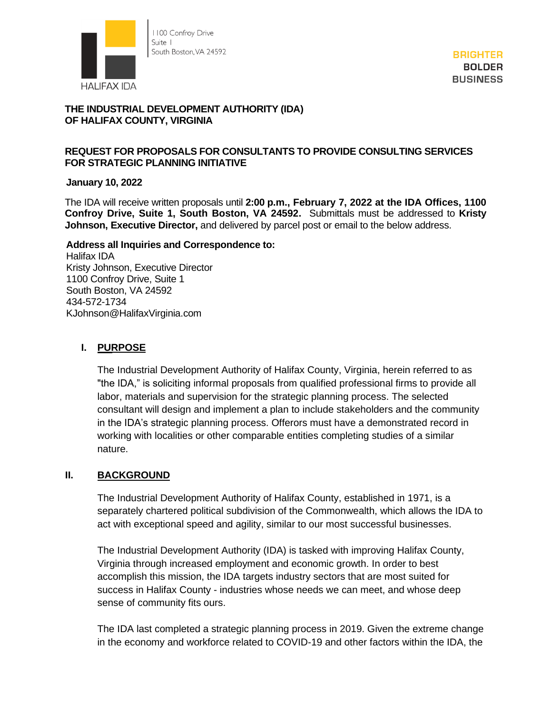

**BRIGHTER BOLDER BUSINESS** 

# **THE INDUSTRIAL DEVELOPMENT AUTHORITY (IDA) OF HALIFAX COUNTY, VIRGINIA**

#### **REQUEST FOR PROPOSALS FOR CONSULTANTS TO PROVIDE CONSULTING SERVICES FOR STRATEGIC PLANNING INITIATIVE**

#### **January 10, 2022**

The IDA will receive written proposals until **2:00 p.m., February 7, 2022 at the IDA Offices, 1100 Confroy Drive, Suite 1, South Boston, VA 24592.** Submittals must be addressed to **Kristy Johnson, Executive Director,** and delivered by parcel post or email to the below address.

#### **Address all Inquiries and Correspondence to:**

Halifax IDA Kristy Johnson, Executive Director 1100 Confroy Drive, Suite 1 South Boston, VA 24592 434-572-1734 KJohnson@HalifaxVirginia.com

### **I. PURPOSE**

The Industrial Development Authority of Halifax County, Virginia, herein referred to as "the IDA," is soliciting informal proposals from qualified professional firms to provide all labor, materials and supervision for the strategic planning process. The selected consultant will design and implement a plan to include stakeholders and the community in the IDA's strategic planning process. Offerors must have a demonstrated record in working with localities or other comparable entities completing studies of a similar nature.

### **II. BACKGROUND**

The Industrial Development Authority of Halifax County, established in 1971, is a separately chartered political subdivision of the Commonwealth, which allows the IDA to act with exceptional speed and agility, similar to our most successful businesses.

The Industrial Development Authority (IDA) is tasked with improving Halifax County, Virginia through increased employment and economic growth. In order to best accomplish this mission, the IDA targets industry sectors that are most suited for success in Halifax County - industries whose needs we can meet, and whose deep sense of community fits ours.

The IDA last completed a strategic planning process in 2019. Given the extreme change in the economy and workforce related to COVID-19 and other factors within the IDA, the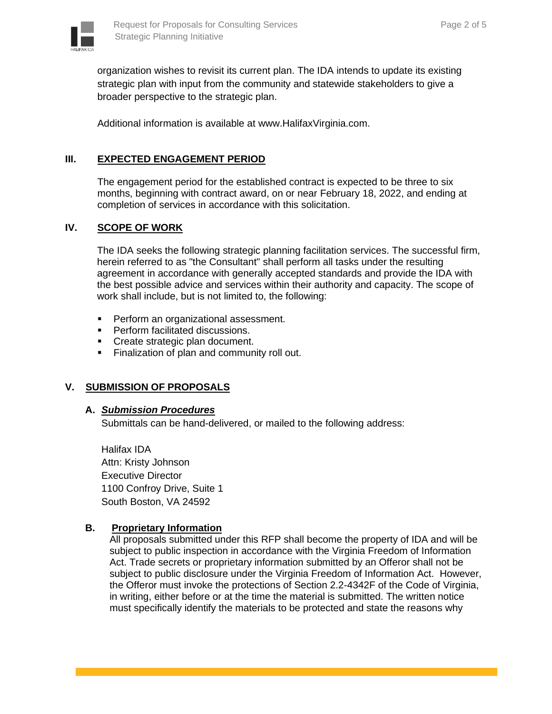

organization wishes to revisit its current plan. The IDA intends to update its existing strategic plan with input from the community and statewide stakeholders to give a broader perspective to the strategic plan.

Additional information is available at www.HalifaxVirginia.com.

## **III. EXPECTED ENGAGEMENT PERIOD**

The engagement period for the established contract is expected to be three to six months, beginning with contract award, on or near February 18, 2022, and ending at completion of services in accordance with this solicitation.

### **IV. SCOPE OF WORK**

The IDA seeks the following strategic planning facilitation services. The successful firm, herein referred to as "the Consultant" shall perform all tasks under the resulting agreement in accordance with generally accepted standards and provide the IDA with the best possible advice and services within their authority and capacity. The scope of work shall include, but is not limited to, the following:

- Perform an organizational assessment.
- Perform facilitated discussions.
- Create strategic plan document.
- **Example 2** Finalization of plan and community roll out.

### **V. SUBMISSION OF PROPOSALS**

#### **A.** *Submission Procedures*

Submittals can be hand-delivered, or mailed to the following address:

Halifax IDA Attn: Kristy Johnson Executive Director 1100 Confroy Drive, Suite 1 South Boston, VA 24592

### **B. Proprietary Information**

All proposals submitted under this RFP shall become the property of IDA and will be subject to public inspection in accordance with the Virginia Freedom of Information Act. Trade secrets or proprietary information submitted by an Offeror shall not be subject to public disclosure under the Virginia Freedom of Information Act. However, the Offeror must invoke the protections of Section 2.2-4342F of the Code of Virginia, in writing, either before or at the time the material is submitted. The written notice must specifically identify the materials to be protected and state the reasons why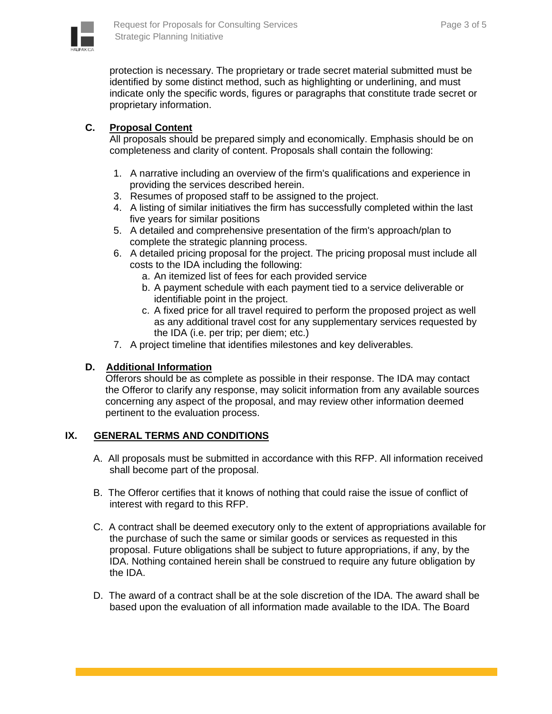

protection is necessary. The proprietary or trade secret material submitted must be identified by some distinct method, such as highlighting or underlining, and must indicate only the specific words, figures or paragraphs that constitute trade secret or proprietary information.

### **C. Proposal Content**

All proposals should be prepared simply and economically. Emphasis should be on completeness and clarity of content. Proposals shall contain the following:

- 1. A narrative including an overview of the firm's qualifications and experience in providing the services described herein.
- 3. Resumes of proposed staff to be assigned to the project.
- 4. A listing of similar initiatives the firm has successfully completed within the last five years for similar positions
- 5. A detailed and comprehensive presentation of the firm's approach/plan to complete the strategic planning process.
- 6. A detailed pricing proposal for the project. The pricing proposal must include all costs to the IDA including the following:
	- a. An itemized list of fees for each provided service
	- b. A payment schedule with each payment tied to a service deliverable or identifiable point in the project.
	- c. A fixed price for all travel required to perform the proposed project as well as any additional travel cost for any supplementary services requested by the IDA (i.e. per trip; per diem; etc.)
- 7. A project timeline that identifies milestones and key deliverables.

#### **D. Additional Information**

Offerors should be as complete as possible in their response. The IDA may contact the Offeror to clarify any response, may solicit information from any available sources concerning any aspect of the proposal, and may review other information deemed pertinent to the evaluation process.

#### **IX. GENERAL TERMS AND CONDITIONS**

- A. All proposals must be submitted in accordance with this RFP. All information received shall become part of the proposal.
- B. The Offeror certifies that it knows of nothing that could raise the issue of conflict of interest with regard to this RFP.
- C. A contract shall be deemed executory only to the extent of appropriations available for the purchase of such the same or similar goods or services as requested in this proposal. Future obligations shall be subject to future appropriations, if any, by the IDA. Nothing contained herein shall be construed to require any future obligation by the IDA.
- D. The award of a contract shall be at the sole discretion of the IDA. The award shall be based upon the evaluation of all information made available to the IDA. The Board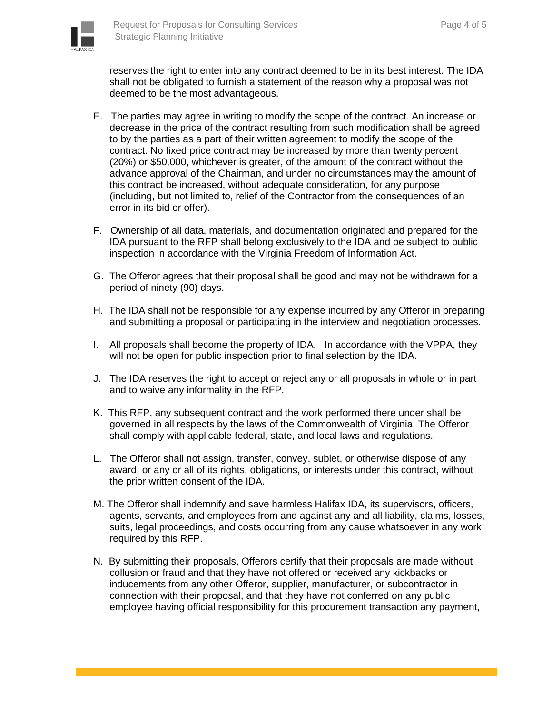

reserves the right to enter into any contract deemed to be in its best interest. The IDA shall not be obligated to furnish a statement of the reason why a proposal was not deemed to be the most advantageous.

- E. The parties may agree in writing to modify the scope of the contract. An increase or decrease in the price of the contract resulting from such modification shall be agreed to by the parties as a part of their written agreement to modify the scope of the contract. No fixed price contract may be increased by more than twenty percent (20%) or \$50,000, whichever is greater, of the amount of the contract without the advance approval of the Chairman, and under no circumstances may the amount of this contract be increased, without adequate consideration, for any purpose (including, but not limited to, relief of the Contractor from the consequences of an error in its bid or offer).
- F. Ownership of all data, materials, and documentation originated and prepared for the IDA pursuant to the RFP shall belong exclusively to the IDA and be subject to public inspection in accordance with the Virginia Freedom of Information Act.
- G. The Offeror agrees that their proposal shall be good and may not be withdrawn for a period of ninety (90) days.
- H. The IDA shall not be responsible for any expense incurred by any Offeror in preparing and submitting a proposal or participating in the interview and negotiation processes.
- I. All proposals shall become the property of IDA. In accordance with the VPPA, they will not be open for public inspection prior to final selection by the IDA.
- J. The IDA reserves the right to accept or reject any or all proposals in whole or in part and to waive any informality in the RFP.
- K. This RFP, any subsequent contract and the work performed there under shall be governed in all respects by the laws of the Commonwealth of Virginia. The Offeror shall comply with applicable federal, state, and local laws and regulations.
- L. The Offeror shall not assign, transfer, convey, sublet, or otherwise dispose of any award, or any or all of its rights, obligations, or interests under this contract, without the prior written consent of the IDA.
- M. The Offeror shall indemnify and save harmless Halifax IDA, its supervisors, officers, agents, servants, and employees from and against any and all liability, claims, losses, suits, legal proceedings, and costs occurring from any cause whatsoever in any work required by this RFP.
- N. By submitting their proposals, Offerors certify that their proposals are made without collusion or fraud and that they have not offered or received any kickbacks or inducements from any other Offeror, supplier, manufacturer, or subcontractor in connection with their proposal, and that they have not conferred on any public employee having official responsibility for this procurement transaction any payment,